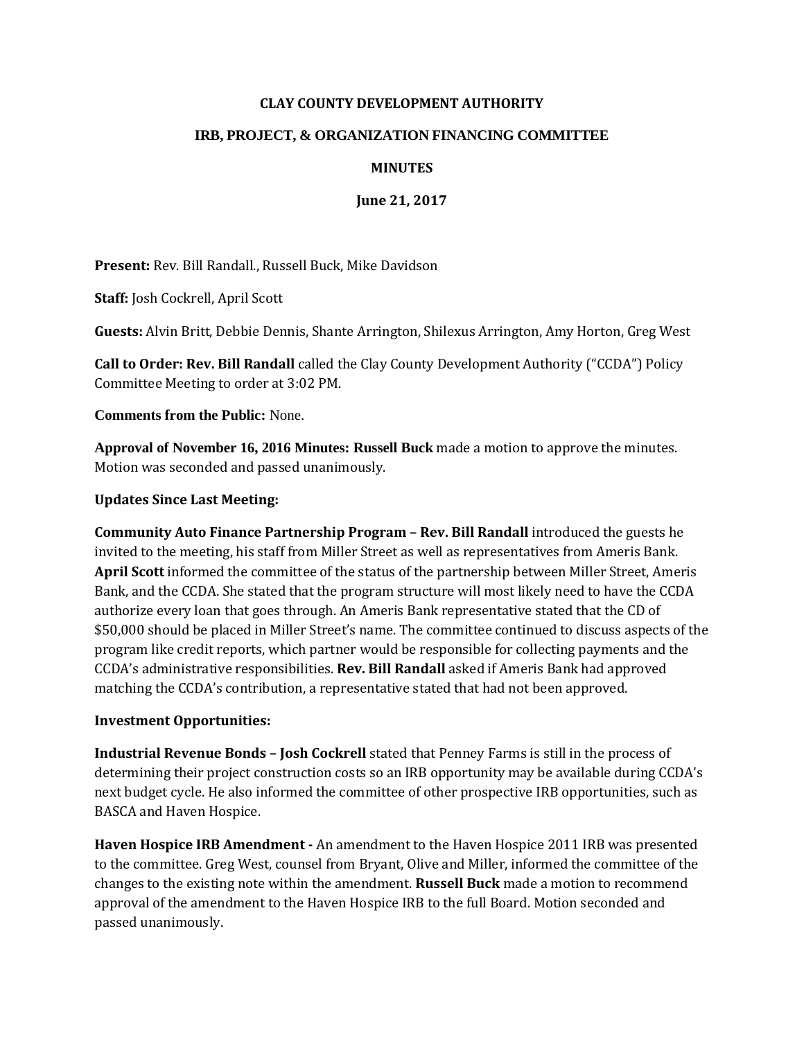## **CLAY COUNTY DEVELOPMENT AUTHORITY**

## **IRB, PROJECT, & ORGANIZATION FINANCING COMMITTEE**

## **MINUTES**

**June 21, 2017**

**Present:** Rev. Bill Randall., Russell Buck, Mike Davidson

**Staff:** Josh Cockrell, April Scott

**Guests:** Alvin Britt, Debbie Dennis, Shante Arrington, Shilexus Arrington, Amy Horton, Greg West

**Call to Order: Rev. Bill Randall** called the Clay County Development Authority ("CCDA") Policy Committee Meeting to order at 3:02 PM.

**Comments from the Public:** None.

**Approval of November 16, 2016 Minutes: Russell Buck** made a motion to approve the minutes. Motion was seconded and passed unanimously.

## **Updates Since Last Meeting:**

**Community Auto Finance Partnership Program – Rev. Bill Randall** introduced the guests he invited to the meeting, his staff from Miller Street as well as representatives from Ameris Bank. **April Scott** informed the committee of the status of the partnership between Miller Street, Ameris Bank, and the CCDA. She stated that the program structure will most likely need to have the CCDA authorize every loan that goes through. An Ameris Bank representative stated that the CD of \$50,000 should be placed in Miller Street's name. The committee continued to discuss aspects of the program like credit reports, which partner would be responsible for collecting payments and the CCDA's administrative responsibilities. **Rev. Bill Randall** asked if Ameris Bank had approved matching the CCDA's contribution, a representative stated that had not been approved.

# **Investment Opportunities:**

**Industrial Revenue Bonds – Josh Cockrell** stated that Penney Farms is still in the process of determining their project construction costs so an IRB opportunity may be available during CCDA's next budget cycle. He also informed the committee of other prospective IRB opportunities, such as BASCA and Haven Hospice.

**Haven Hospice IRB Amendment -** An amendment to the Haven Hospice 2011 IRB was presented to the committee. Greg West, counsel from Bryant, Olive and Miller, informed the committee of the changes to the existing note within the amendment. **Russell Buck** made a motion to recommend approval of the amendment to the Haven Hospice IRB to the full Board. Motion seconded and passed unanimously.